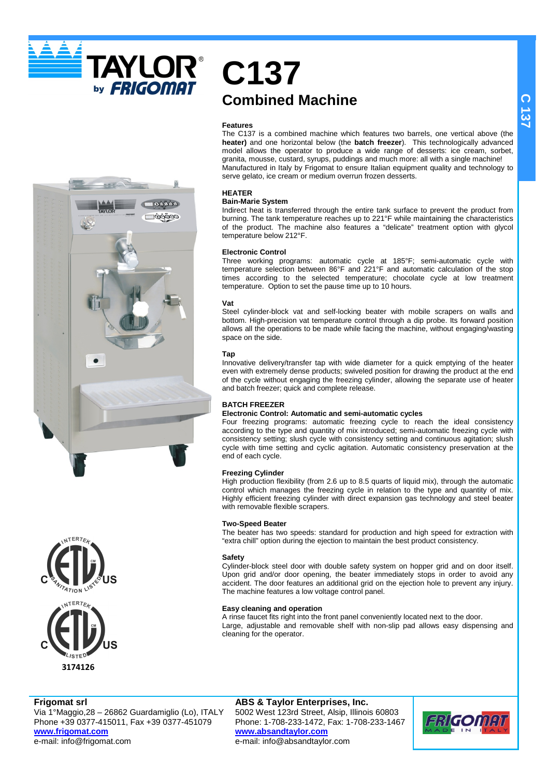**TAYLOR®** by **FRIGOMAT** 



## **C137 Combined Machine**

#### **Features**

The C137 is a combined machine which features two barrels, one vertical above (the **heater)** and one horizontal below (the **batch freezer**). This technologically advanced model allows the operator to produce a wide range of desserts: ice cream, sorbet, granita, mousse, custard, syrups, puddings and much more: all with a single machine! Manufactured in Italy by Frigomat to ensure Italian equipment quality and technology to serve gelato, ice cream or medium overrun frozen desserts.

#### **HEATER**

#### **Bain-Marie System**

Indirect heat is transferred through the entire tank surface to prevent the product from burning. The tank temperature reaches up to 221°F while maintaining the characteristics of the product. The machine also features a "delicate" treatment option with glycol temperature below 212°F.

#### **Electronic Control**

Three working programs: automatic cycle at 185°F; semi-automatic cycle with temperature selection between 86°F and 221°F and automatic calculation of the stop times according to the selected temperature; chocolate cycle at low treatment temperature. Option to set the pause time up to 10 hours.

#### **Vat**

Steel cylinder-block vat and self-locking beater with mobile scrapers on walls and bottom. High-precision vat temperature control through a dip probe. Its forward position allows all the operations to be made while facing the machine, without engaging/wasting space on the side.

#### **Tap**

Innovative delivery/transfer tap with wide diameter for a quick emptying of the heater even with extremely dense products; swiveled position for drawing the product at the end of the cycle without engaging the freezing cylinder, allowing the separate use of heater and batch freezer; quick and complete release.

#### **BATCH FREEZER**

#### **Electronic Control: Automatic and semi-automatic cycles**

Four freezing programs: automatic freezing cycle to reach the ideal consistency according to the type and quantity of mix introduced; semi-automatic freezing cycle with consistency setting; slush cycle with consistency setting and continuous agitation; slush cycle with time setting and cyclic agitation. Automatic consistency preservation at the end of each cycle.

#### **Freezing Cylinder**

High production flexibility (from 2.6 up to 8.5 quarts of liquid mix), through the automatic control which manages the freezing cycle in relation to the type and quantity of mix. Highly efficient freezing cylinder with direct expansion gas technology and steel beater with removable flexible scrapers.

#### **Two-Speed Beater**

The beater has two speeds: standard for production and high speed for extraction with "extra chill" option during the ejection to maintain the best product consistency.

#### **Safety**

Cylinder-block steel door with double safety system on hopper grid and on door itself. Upon grid and/or door opening, the beater immediately stops in order to avoid any accident. The door features an additional grid on the ejection hole to prevent any injury. The machine features a low voltage control panel.

#### **Easy cleaning and operation**

A rinse faucet fits right into the front panel conveniently located next to the door. Large, adjustable and removable shelf with non-slip pad allows easy dispensing and cleaning for the operator.

#### **Frigomat srl** Via 1°Maggio,28 – 26862 Guardamiglio (Lo), ITALY Phone +39 0377-415011, Fax +39 0377-451079 **www.frigomat.com**

**ABS & Taylor Enterprises, Inc.** 5002 West 123rd Street, Alsip, Illinois 60803 Phone: 1-708-233-1472, Fax: 1-708-233-1467 **www.absandtaylor.com** e-mail: info@absandtaylor.com



e-mail: info@frigomat.com